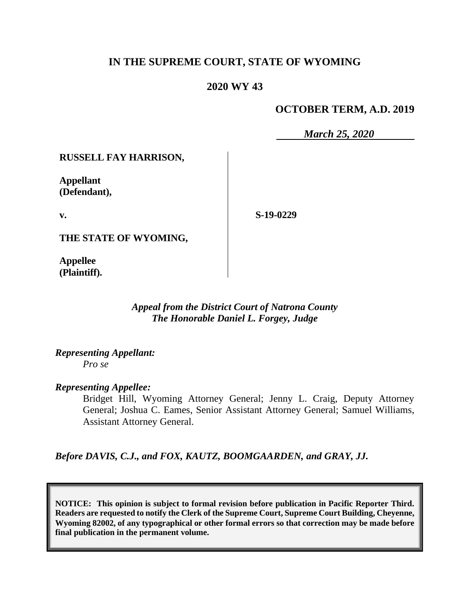# **IN THE SUPREME COURT, STATE OF WYOMING**

# **2020 WY 43**

## **OCTOBER TERM, A.D. 2019**

*March 25, 2020*

### **RUSSELL FAY HARRISON,**

**Appellant (Defendant),**

**v.**

**S-19-0229**

**THE STATE OF WYOMING,**

**Appellee (Plaintiff).**

> *Appeal from the District Court of Natrona County The Honorable Daniel L. Forgey, Judge*

*Representing Appellant: Pro se*

#### *Representing Appellee:*

Bridget Hill, Wyoming Attorney General; Jenny L. Craig, Deputy Attorney General; Joshua C. Eames, Senior Assistant Attorney General; Samuel Williams, Assistant Attorney General.

*Before DAVIS, C.J., and FOX, KAUTZ, BOOMGAARDEN, and GRAY, JJ.*

**NOTICE: This opinion is subject to formal revision before publication in Pacific Reporter Third. Readers are requested to notify the Clerk of the Supreme Court, Supreme Court Building, Cheyenne, Wyoming 82002, of any typographical or other formal errors so that correction may be made before final publication in the permanent volume.**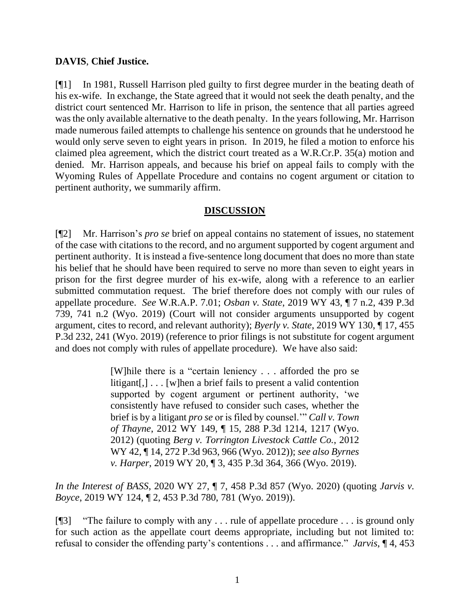## **DAVIS**, **Chief Justice.**

[¶1] In 1981, Russell Harrison pled guilty to first degree murder in the beating death of his ex-wife. In exchange, the State agreed that it would not seek the death penalty, and the district court sentenced Mr. Harrison to life in prison, the sentence that all parties agreed was the only available alternative to the death penalty. In the years following, Mr. Harrison made numerous failed attempts to challenge his sentence on grounds that he understood he would only serve seven to eight years in prison. In 2019, he filed a motion to enforce his claimed plea agreement, which the district court treated as a W.R.Cr.P. 35(a) motion and denied. Mr. Harrison appeals, and because his brief on appeal fails to comply with the Wyoming Rules of Appellate Procedure and contains no cogent argument or citation to pertinent authority, we summarily affirm.

# **DISCUSSION**

[¶2] Mr. Harrison's *pro se* brief on appeal contains no statement of issues, no statement of the case with citations to the record, and no argument supported by cogent argument and pertinent authority. It is instead a five-sentence long document that does no more than state his belief that he should have been required to serve no more than seven to eight years in prison for the first degree murder of his ex-wife, along with a reference to an earlier submitted commutation request. The brief therefore does not comply with our rules of appellate procedure. *See* W.R.A.P. 7.01; *Osban v. State*[, 2019 WY 43, ¶ 7 n.2, 439 P.3d](http://www.westlaw.com/Link/Document/FullText?findType=Y&serNum=2048072264&pubNum=0004645&originatingDoc=I56c9ad00290e11eaac0ee4466ee51240&refType=RP&fi=co_pp_sp_4645_741&originationContext=document&vr=3.0&rs=cblt1.0&transitionType=DocumentItem&contextData=(sc.Search)#co_pp_sp_4645_741)  [739, 741 n.2 \(Wyo. 2019\)](http://www.westlaw.com/Link/Document/FullText?findType=Y&serNum=2048072264&pubNum=0004645&originatingDoc=I56c9ad00290e11eaac0ee4466ee51240&refType=RP&fi=co_pp_sp_4645_741&originationContext=document&vr=3.0&rs=cblt1.0&transitionType=DocumentItem&contextData=(sc.Search)#co_pp_sp_4645_741) (Court will not consider arguments unsupported by cogent argument, cites to record, and relevant authority); *Byerly v. State*, 2019 WY 130, ¶ 17, 455 P.3d 232, 241 (Wyo. 2019) (reference to prior filings is not substitute for cogent argument and does not comply with rules of appellate procedure). We have also said:

> [W]hile there is a "certain leniency . . . afforded the pro se litigant[,] . . . [w]hen a brief fails to present a valid contention supported by cogent argument or pertinent authority, 'we consistently have refused to consider such cases, whether the brief is by a litigant *pro se* or is filed by counsel.'" *Call v. Town of Thayne*, 2012 WY 149, ¶ 15, 288 P.3d 1214, 1217 (Wyo. 2012) (quoting *Berg v. Torrington Livestock Cattle Co.*, 2012 WY 42, ¶ 14, 272 P.3d 963, 966 (Wyo. 2012)); *see also Byrnes v. Harper*, 2019 WY 20, ¶ 3, 435 P.3d 364, 366 (Wyo. 2019).

*In the Interest of BASS*, 2020 WY 27, ¶ 7, 458 P.3d 857 (Wyo. 2020) (quoting *Jarvis v. Boyce*, 2019 WY 124, ¶ 2, 453 P.3d 780, 781 (Wyo. 2019)).

[¶3] "The failure to comply with any . . . rule of appellate procedure . . . is ground only for such action as the appellate court deems appropriate, including but not limited to: refusal to consider the offending party's contentions . . . and affirmance." *Jarvis*, ¶ 4, 453